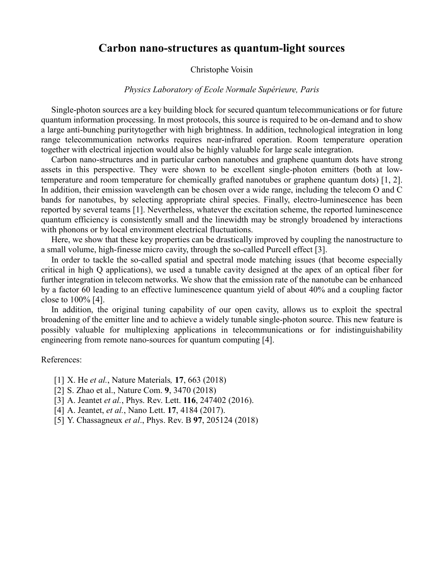## **Carbon nano-structures as quantum-light sources**

## Christophe Voisin

## *Physics Laboratory of Ecole Normale Supérieure, Paris*

Single-photon sources are a key building block for secured quantum telecommunications or for future quantum information processing. In most protocols, this source is required to be on-demand and to show a large anti-bunching puritytogether with high brightness. In addition, technological integration in long range telecommunication networks requires near-infrared operation. Room temperature operation together with electrical injection would also be highly valuable for large scale integration.

Carbon nano-structures and in particular carbon nanotubes and graphene quantum dots have strong assets in this perspective. They were shown to be excellent single-photon emitters (both at lowtemperature and room temperature for chemically grafted nanotubes or graphene quantum dots) [1, 2]. In addition, their emission wavelength can be chosen over a wide range, including the telecom O and C bands for nanotubes, by selecting appropriate chiral species. Finally, electro-luminescence has been reported by several teams [1]. Nevertheless, whatever the excitation scheme, the reported luminescence quantum efficiency is consistently small and the linewidth may be strongly broadened by interactions with phonons or by local environment electrical fluctuations.

Here, we show that these key properties can be drastically improved by coupling the nanostructure to a small volume, high-finesse micro cavity, through the so-called Purcell effect [3].

In order to tackle the so-called spatial and spectral mode matching issues (that become especially critical in high Q applications), we used a tunable cavity designed at the apex of an optical fiber for further integration in telecom networks. We show that the emission rate of the nanotube can be enhanced by a factor 60 leading to an effective luminescence quantum yield of about 40% and a coupling factor close to 100% [4].

In addition, the original tuning capability of our open cavity, allows us to exploit the spectral broadening of the emitter line and to achieve a widely tunable single-photon source. This new feature is possibly valuable for multiplexing applications in telecommunications or for indistinguishability engineering from remote nano-sources for quantum computing [4].

## References:

- [1] X. He *et al.*, Nature Materials*,* **17**, 663 (2018)
- [2] S. Zhao et al., Nature Com. **9**, 3470 (2018)
- [3] A. Jeantet *et al.*, Phys. Rev. Lett. **116**, 247402 (2016).
- [4] A. Jeantet, *et al.*, Nano Lett. **17**, 4184 (2017).
- [5] Y. Chassagneux *et al*., Phys. Rev. B **97**, 205124 (2018)